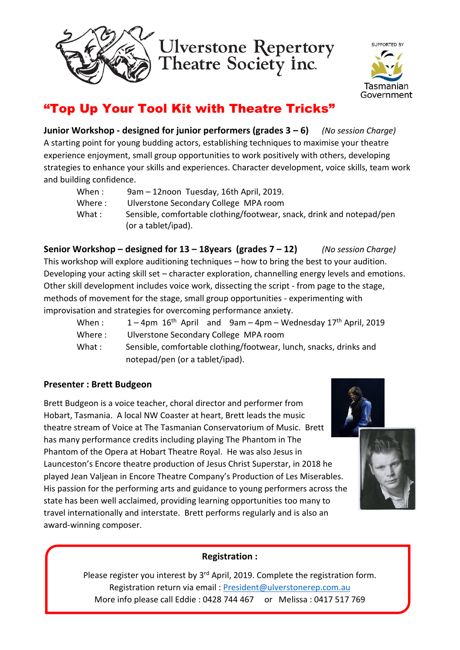

**Ulverstone Repertory**<br>Theatre Society inc.



# "Top Up Your Tool Kit with Theatre Tricks"

**Junior Workshop - designed for junior performers (grades 3 – 6)** *(No session Charge)* A starting point for young budding actors, establishing techniques to maximise your theatre experience enjoyment, small group opportunities to work positively with others, developing strategies to enhance your skills and experiences. Character development, voice skills, team work and building confidence.

| When :    | 9am – 12noon Tuesday, 16th April, 2019.                               |
|-----------|-----------------------------------------------------------------------|
| Where : . | Ulverstone Secondary College MPA room                                 |
| What :    | Sensible, comfortable clothing/footwear, snack, drink and notepad/pen |
|           | (or a tablet/ipad).                                                   |

**Senior Workshop – designed for 13 – 18years (grades 7 – 12)** *(No session Charge)* This workshop will explore auditioning techniques – how to bring the best to your audition. Developing your acting skill set – character exploration, channelling energy levels and emotions. Other skill development includes voice work, dissecting the script - from page to the stage, methods of movement for the stage, small group opportunities - experimenting with improvisation and strategies for overcoming performance anxiety.

| When :  | $1-4$ pm $16th$ April and $9am-4pm-Wednesday 17th$ April, 2019     |
|---------|--------------------------------------------------------------------|
| Where : | Ulverstone Secondary College MPA room                              |
| What:   | Sensible, comfortable clothing/footwear, lunch, snacks, drinks and |
|         | notepad/pen (or a tablet/ipad).                                    |

#### **Presenter : Brett Budgeon**

Brett Budgeon is a voice teacher, choral director and performer from Hobart, Tasmania. A local NW Coaster at heart, Brett leads the music theatre stream of Voice at The Tasmanian Conservatorium of Music. Brett has many performance credits including playing The Phantom in The Phantom of the Opera at Hobart Theatre Royal. He was also Jesus in Launceston's Encore theatre production of Jesus Christ Superstar, in 2018 he played Jean Valjean in Encore Theatre Company's Production of Les Miserables. His passion for the performing arts and guidance to young performers across the state has been well acclaimed, providing learning opportunities too many to travel internationally and interstate. Brett performs regularly and is also an award-winning composer.





#### **Registration :**

Please register you interest by 3<sup>rd</sup> April, 2019. Complete the registration form. Registration return via email : [President@ulverstonerep.com.au](mailto:President@ulverstonerep.com.au) More info please call Eddie : 0428 744 467 or Melissa : 0417 517 769